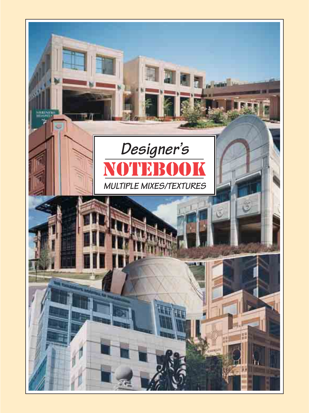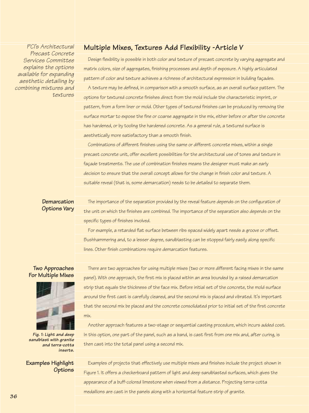*PCI's Architectural* **Multiple Mixes, Textures Add Flexibility -Article V** *Precast Concrete Services Committee explains the options available for expanding aesthetic detailing by combining* 

| e for expanding<br>pattern of color and texture achieves a richness of architectural expression in building façades.<br>tic detailing by<br>A texture may be defined, in comparison with a smooth surface, as an overall surface pattern. The<br>g mixtures and |  |
|-----------------------------------------------------------------------------------------------------------------------------------------------------------------------------------------------------------------------------------------------------------------|--|
|                                                                                                                                                                                                                                                                 |  |
|                                                                                                                                                                                                                                                                 |  |
| textures<br>options for textured concrete finishes direct from the mold include the characteristic imprint, or                                                                                                                                                  |  |
| pattern, from a form liner or mold. Other types of textured finishes can be produced by removing the                                                                                                                                                            |  |
| surface mortar to expose the fine or coarse aggregate in the mix, either before or after the concrete                                                                                                                                                           |  |
| has hardened, or by tooling the hardened concrete. As a general rule, a textured surface is                                                                                                                                                                     |  |
| aesthetically more satisfactory than a smooth finish.                                                                                                                                                                                                           |  |
| Combinations of different finishes using the same or different concrete mixes, within a single                                                                                                                                                                  |  |
| precast concrete unit, offer excellent possibilities for the architectural use of tones and texture in                                                                                                                                                          |  |
| façade treatments. The use of combination finishes means the designer must make an early                                                                                                                                                                        |  |
| decision to ensure that the overall concept allows for the change in finish color and texture. A                                                                                                                                                                |  |
| suitable reveal (that is, some demarcation) needs to be detailed to separate them.                                                                                                                                                                              |  |
|                                                                                                                                                                                                                                                                 |  |

## **Demarcation Options Vary**

The importance of the separation provided by the reveal feature depends on the configuration of the unit on which the finishes are combined. The importance of the separation also depends on the specific types of finishes involved.

Design flexibility is possible in both color and texture of precast concrete by varying aggregate and

matrix colors, size of aggregates, finishing processes and depth of exposure. A highly articulated

For example, a retarded flat surface between ribs spaced widely apart needs a groove or offset. Bushhammering and, to a lesser degree, sandblasting can be stopped fairly easily along specific lines. Other finish combinations require demarcation features.

# **Two Approaches For Multiple Mixes**



*Fig. 1: Light and deep sandblast with granite and terra-cotta inserts.*

## **Examples Highlight Options**

There are two approaches for using multiple mixes (two or more different facing mixes in the same panel). With one approach, the first mix is placed within an area bounded by a raised demarcation strip that equals the thickness of the face mix. Before initial set of the concrete, the mold surface around the first cast is carefully cleaned, and the second mix is placed and vibrated. It's important that the second mix be placed and the concrete consolidated prior to initial set of the first concrete mix.

Another approach features a two-stage or sequential casting procedure, which incurs added cost. In this option, one part of the panel, such as a band, is cast first from one mix and, after curing, is then cast into the total panel using a second mix.

Examples of projects that effectively use multiple mixes and finishes include the project shown in Figure 1. It offers a checkerboard pattern of light and deep sandblasted surfaces, which gives the appearance of a buff-colored limestone when viewed from a distance. Projecting terra-cotta medallions are cast in the panels along with a horizontal feature strip of granite.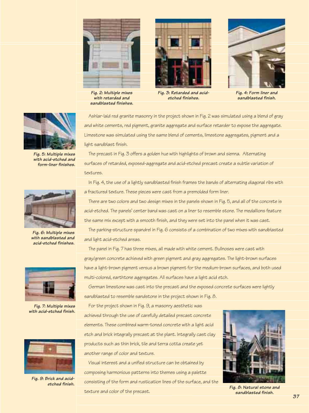

*Fig. 2: Multiple mixes with retarded and sandblasted finishes.*



*Fig. 3: Retarded and acidetched finishes.*



*Fig. 4: Form liner and sandblasted finish.*



*Fig. 5: Multiple mixes with acid-etched and form-liner finishes.*



*Fig. 6: Multiple mixes with sandblasted and acid-etched finishes.*



*Fig. 7: Multiple mixes with acid-etched finish.*



*Fig. 9: Brick and acidetched finish.*

Ashlar-laid red granite masonry in the project shown in Fig. 2 was simulated using a blend of gray and white cements, red pigment, granite aggregate and surface retarder to expose the aggregate. Limestone was simulated using the same blend of cements, limestone aggregates, pigment and a light sandblast finish.

The precast in Fig. 3 offers a golden hue with highlights of brown and sienna. Alternating surfaces of retarded, exposed-aggregate and acid-etched precast create a subtle variation of textures.

In Fig. 4, the use of a lightly sandblasted finish frames the bands of alternating diagonal ribs with a fractured texture. These pieces were cast from a premolded form liner.

There are two colors and two design mixes in the panels shown in Fig. 5, and all of the concrete is acid-etched. The panels' center band was cast on a liner to resemble stone. The medallions feature the same mix except with a smooth finish, and they were set into the panel when it was cast.

The parking-structure spandrel in Fig. 6 consists of a combination of two mixes with sandblasted and light acid-etched areas.

The panel in Fig. 7 has three mixes, all made with white cement. Bullnoses were cast with gray/green concrete achieved with green pigment and gray aggregates. The light-brown surfaces have a light-brown pigment versus a brown pigment for the medium-brown surfaces, and both used multi-colored, earthtone aggregates. All surfaces have a light acid etch.

German limestone was cast into the precast and the exposed concrete surfaces were lightly sandblasted to resemble sandstone in the project shown in Fig. 8.

For the project shown in Fig. 9, a masonry aesthetic was achieved through the use of carefully detailed precast concrete elements. These combined warm-toned concrete with a light acid etch and brick integrally precast at the plant. Integrally cast clay products such as thin brick, tile and terra cotta create yet another range of color and texture.

Visual interest and a unified structure can be obtained by composing harmonious patterns into themes using a palette consisting of the form and rustication lines of the surface, and the texture and color of the precast.



*Fig. 8: Natural stone and sandblasted finish.*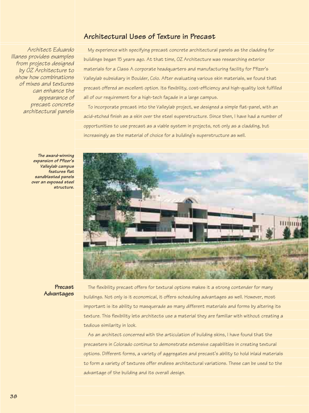# **Architectural Uses of Texture in Precast**

*Architect Eduardo Illanes provides examples from projects designed by OZ Architecture to show how combinations of mixes and textures can enhance the appearance of precast concrete architectural panels*

My experience with specifying precast concrete architectural panels as the cladding for buildings began 15 years ago. At that time, OZ Architecture was researching exterior materials for a Class A corporate headquarters and manufacturing facility for Pfizer's Valleylab subsidiary in Boulder, Colo. After evaluating various skin materials, we found that precast offered an excellent option. Its flexibility, cost-efficiency and high-quality look fulfilled all of our requirement for a high-tech façade in a large campus.

To incorporate precast into the Valleylab project, we designed a simple flat-panel, with an acid-etched finish as a skin over the steel superstructure. Since then, I have had a number of opportunities to use precast as a viable system in projects, not only as a cladding, but increasingly as the material of choice for a building's superstructure as well.



*The award-winning expansion of Pfizer's Valleylab campus features flat sandblasted panels over an exposed steel structure.*

#### **Precast Advantages**

The flexibility precast offers for textural options makes it a strong contender for many buildings. Not only is it economical, it offers scheduling advantages as well. However, most important is its ability to masquerade as many different materials and forms by altering its texture. This flexibility lets architects use a material they are familiar with without creating a tedious similarity in look.

As an architect concerned with the articulation of building skins, I have found that the precasters in Colorado continue to demonstrate extensive capabilities in creating textural options. Different forms, a variety of aggregates and precast's ability to hold inlaid materials to form a variety of textures offer endless architectural variations. These can be used to the advantage of the building and its overall design.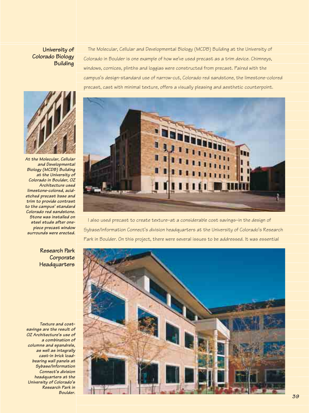## **University of Colorado Biology Building**

The Molecular, Cellular and Developmental Biology (MCDB) Building at the University of Colorado in Boulder is one example of how we've used precast as a trim device. Chimneys, windows, cornices, plinths and loggias were constructed from precast. Paired with the campus's design-standard use of narrow-cut, Colorado red sandstone, the limestone-colored precast, cast with minimal texture, offers a visually pleasing and aesthetic counterpoint.



*At the Molecular, Cellular and Developmental Biology (MCDB) Building at the University of Colorado in Boulder, OZ Architecture used limestone-colored, acidetched precast base and trim to provide contrast to the campus' standard Colorado red sandstone. Stone was installed on steel studs after onepiece precast window surrounds were erected.*



I also used precast to create texture–at a considerable cost savings–in the design of Sybase/Information Connect's division headquarters at the University of Colorado's Research Park in Boulder. On this project, there were several issues to be addressed. It was essential

## **Research Park Corporate Headquarters**

*Texture and costsavings are the result of OZ Architecture's use of a combination of columns and spandrels, as well as integrally cast-in brick loadbearing wall panels at Sybase/Information Connect's division headquarters at the University of Colorado's Research Park in Boulder.* 

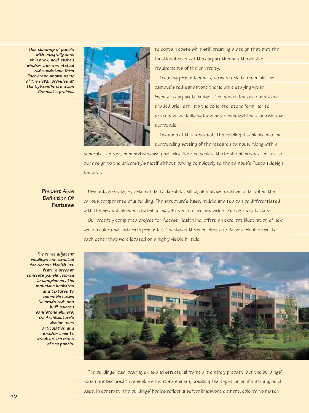*This close-up of panels with integrally cast thin brick, acid-etched window trim and etched red sandstone form liner areas shows some of the detail provided at the Sybase/Information Connect's project.*



to contain costs while still creating a design that met the functional needs of the corporation and the design requirements of the university.

By using precast panels, we were able to maintain the campus's red-sandstone theme while staying within Sybase's corporate budget. The panels feature sandstoneshaded brick set into the concrete, stone formliner to articulate the building base and simulated limestone window surrounds.

Because of this approach, the building fits nicely into the surrounding setting of the research campus. Along with a

concrete-tile roof, punched windows and third-floor balconies, the brick-set precast let us tie our design to the university's motif without bowing completely to the campus's Tuscan design features.

# **Precast Aids Definition Of Features**

Precast concrete, by virtue of its textural flexibility, also allows architects to define the various components of a building. The structure's base, middle and top can be differentiated with the precast elements by imitating different natural materials via color and texture. Our recently completed project for Access Health Inc. offers an excellent illustration of how we use color and texture in precast. OZ designed three buildings for Access Health next to each other that were located on a highly visible hillside.

*The three adjacent buildings constructed for Access Health Inc. feature precast concrete panels colored to complement the mountain backdrop and textured to resemble native Colorado red- and buff-colored sandstone shiners. OZ Architecture's design uses articulation and shadow lines to break up the mass of the panels.*



The buildings' load-bearing skins and structural frame are entirely precast, but the buildings' bases are textured to resemble sandstone shiners, creating the appearance of a strong, solid base. In contrast, the buildings' bodies reflect a softer limestone element, colored to match